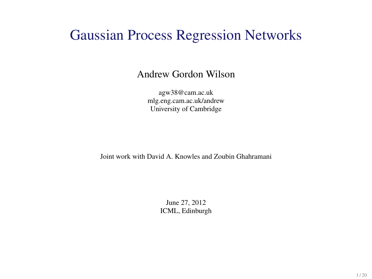#### Gaussian Process Regression Networks

#### Andrew Gordon Wilson

agw38@cam.ac.uk mlg.eng.cam.ac.uk/andrew University of Cambridge

Joint work with David A. Knowles and Zoubin Ghahramani

June 27, 2012 ICML, Edinburgh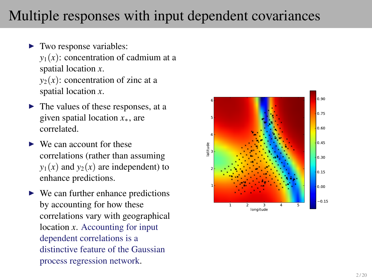## Multiple responses with input dependent covariances

- $\blacktriangleright$  Two response variables:  $y_1(x)$ : concentration of cadmium at a spatial location *x*.  $y_2(x)$ : concentration of zinc at a spatial location *x*.
- $\blacktriangleright$  The values of these responses, at a given spatial location *x*∗, are correlated.
- $\blacktriangleright$  We can account for these correlations (rather than assuming  $y_1(x)$  and  $y_2(x)$  are independent) to enhance predictions.
- $\triangleright$  We can further enhance predictions by accounting for how these correlations vary with geographical location *x*. Accounting for input dependent correlations is a distinctive feature of the Gaussian process regression network.

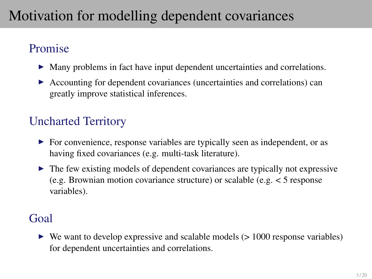## Motivation for modelling dependent covariances

#### Promise

- $\triangleright$  Many problems in fact have input dependent uncertainties and correlations.
- $\triangleright$  Accounting for dependent covariances (uncertainties and correlations) can greatly improve statistical inferences.

#### Uncharted Territory

- $\triangleright$  For convenience, response variables are typically seen as independent, or as having fixed covariances (e.g. multi-task literature).
- $\triangleright$  The few existing models of dependent covariances are typically not expressive (e.g. Brownian motion covariance structure) or scalable (e.g.  $\lt 5$  response variables).

#### Goal

 $\triangleright$  We want to develop expressive and scalable models ( $> 1000$  response variables) for dependent uncertainties and correlations.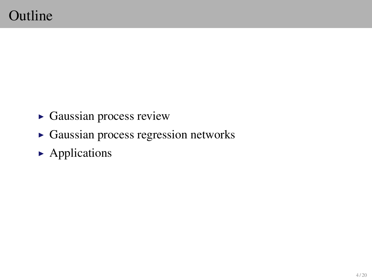- $\triangleright$  Gaussian process review
- $\triangleright$  Gaussian process regression networks
- $\blacktriangleright$  Applications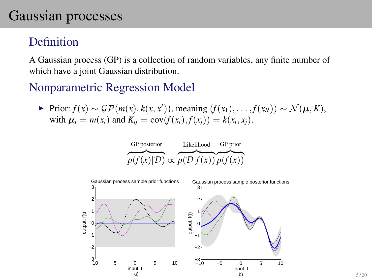## Gaussian processes

#### Definition

A Gaussian process (GP) is a collection of random variables, any finite number of which have a joint Gaussian distribution.

#### Nonparametric Regression Model

 $\triangleright$  Prior:  $f(x) \sim \mathcal{GP}(m(x), k(x, x'))$ , meaning  $(f(x_1), \ldots, f(x_N)) \sim \mathcal{N}(\boldsymbol{\mu}, K)$ , with  $\mu_i = m(x_i)$  and  $K_{ii} = cov(f(x_i), f(x_i)) = k(x_i, x_i)$ .

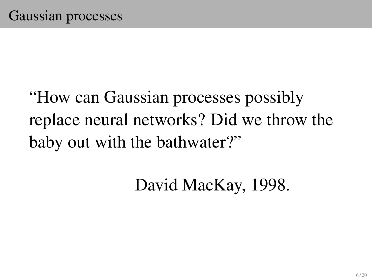# "How can Gaussian processes possibly replace neural networks? Did we throw the baby out with the bathwater?"

David MacKay, 1998.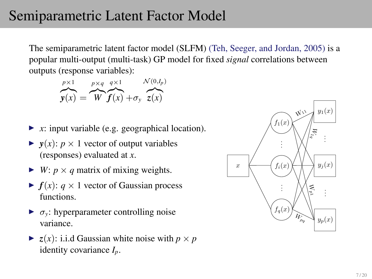## Semiparametric Latent Factor Model

The semiparametric latent factor model (SLFM) (Teh, Seeger, and Jordan, 2005) is a popular multi-output (multi-task) GP model for fixed *signal* correlations between outputs (response variables):

*p*×1  $y(x) =$ *p*×*q* z}|{ *W q*×1  $f(x) + \sigma_y$   $\bar{z}(x)$  $\mathcal{N}(0,I_p)$ 

- $\triangleright$  *x*: input variable (e.g. geographical location).
- $\blacktriangleright$   $y(x)$ :  $p \times 1$  vector of output variables (responses) evaluated at *x*.
- $\blacktriangleright$  *W*: *p* × *q* matrix of mixing weights.
- $\blacktriangleright$   $f(x)$ :  $q \times 1$  vector of Gaussian process functions.
- $\triangleright$   $\sigma_v$ : hyperparameter controlling noise variance.
- $\blacktriangleright$  *z*(*x*): i.i.d Gaussian white noise with  $p \times p$ identity covariance *Ip*.

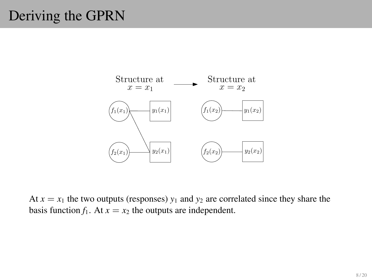## Deriving the GPRN



At  $x = x_1$  the two outputs (responses)  $y_1$  and  $y_2$  are correlated since they share the basis function  $f_1$ . At  $x = x_2$  the outputs are independent.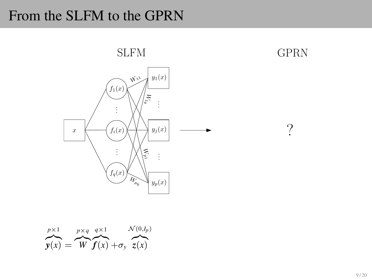#### From the SLFM to the GPRN



$$
\overbrace{\mathbf{y}(x)}^{p\times 1} = \overbrace{\mathbf{W}}^{p\times q} \overbrace{\mathbf{f}(x)}^{q\times 1} + \sigma_{y} \overbrace{\mathbf{z}(x)}^{\mathcal{N}(0,I_{p})}
$$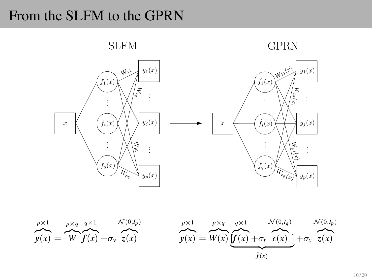## From the SLFM to the GPRN



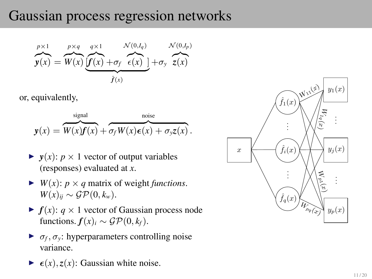## Gaussian process regression networks

$$
\overbrace{y(x)}^{p\times 1} = \overbrace{W(x)}^{p\times q} \underbrace{\overbrace{q\times 1}^{q\times 1}}_{\hat{f}(x)} \overbrace{+\sigma_f}^{N(0,I_q)} \underbrace{\overbrace{N(0,I_p)}^{N(0,I_p)}}_{\hat{f}(x)}
$$

or, equivalently,

$$
\mathbf{y}(x) = \overbrace{W(x)\mathbf{f}(x)}^{\text{signal}} + \overbrace{\sigma_f W(x)\mathbf{e}(x) + \sigma_y z(x)}^{\text{noise}}.
$$

- $\blacktriangleright$   $y(x)$ :  $p \times 1$  vector of output variables (responses) evaluated at *x*.
- $\blacktriangleright$  *W(x): p × q* matrix of weight *functions*.  $W(x)_{ii} \sim \mathcal{GP}(0, k_w)$ .
- $\blacktriangleright$   $f(x)$ :  $q \times 1$  vector of Gaussian process node functions.  $f(x)$ <sup>*i*</sup> ∼  $\mathcal{GP}(0, k_f)$ .
- $\blacktriangleright$   $\sigma_f$ ,  $\sigma_y$ : hyperparameters controlling noise variance.
- $\blacktriangleright$   $\epsilon(x), \zeta(x)$ : Gaussian white noise.

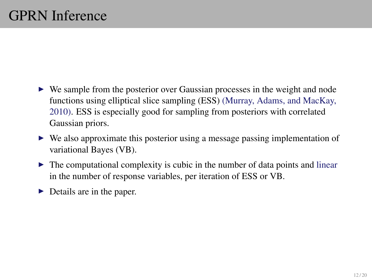- $\triangleright$  We sample from the posterior over Gaussian processes in the weight and node functions using elliptical slice sampling (ESS) (Murray, Adams, and MacKay, 2010). ESS is especially good for sampling from posteriors with correlated Gaussian priors.
- $\triangleright$  We also approximate this posterior using a message passing implementation of variational Bayes (VB).
- $\triangleright$  The computational complexity is cubic in the number of data points and linear in the number of response variables, per iteration of ESS or VB.
- $\triangleright$  Details are in the paper.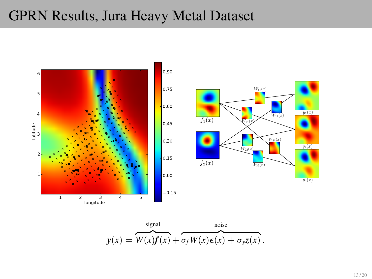#### GPRN Results, Jura Heavy Metal Dataset



$$
\mathbf{y}(x) = \overbrace{W(x)\mathbf{f}(x)}^{\text{signal}} + \overbrace{\sigma_f W(x)\mathbf{\epsilon}(x) + \sigma_y z(x)}^{\text{noise}}.
$$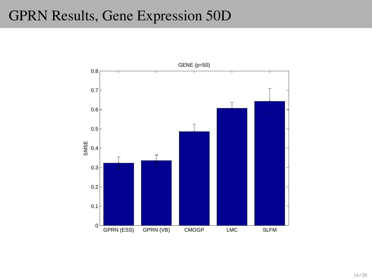## GPRN Results, Gene Expression 50D

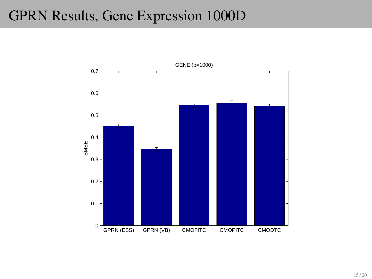## GPRN Results, Gene Expression 1000D

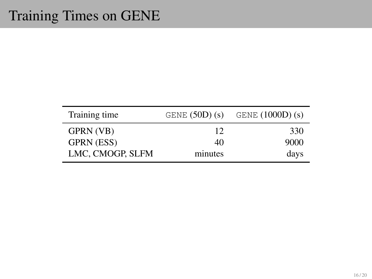| Training time     | GENE $(50D)(s)$ | GENE $(1000D)(s)$ |
|-------------------|-----------------|-------------------|
| GPRN (VB)         | 12              | 330               |
| <b>GPRN (ESS)</b> | 40              | 9000              |
| LMC, CMOGP, SLFM  | minutes         | days              |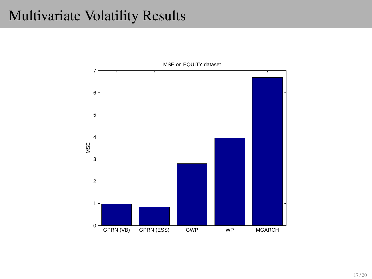#### Multivariate Volatility Results

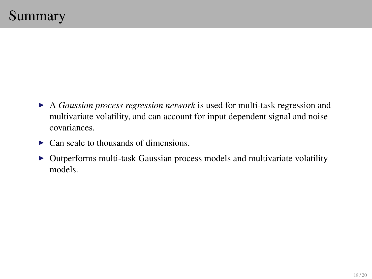- <sup>I</sup> A *Gaussian process regression network* is used for multi-task regression and multivariate volatility, and can account for input dependent signal and noise covariances.
- $\triangleright$  Can scale to thousands of dimensions.
- $\triangleright$  Outperforms multi-task Gaussian process models and multivariate volatility models.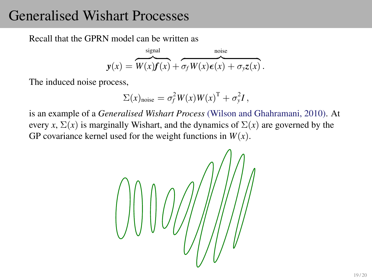#### Generalised Wishart Processes

Recall that the GPRN model can be written as

$$
\mathbf{y}(x) = \overbrace{W(x)\mathbf{f}(x)}^{\text{signal}} + \overbrace{\sigma_f W(x)\epsilon(x)}^{\text{noise}} + \sigma_y z(x).
$$

The induced noise process,

$$
\Sigma(x)_{\text{noise}} = \sigma_f^2 W(x) W(x)^{\mathrm{T}} + \sigma_y^2 I,
$$

is an example of a *Generalised Wishart Process* (Wilson and Ghahramani, 2010). At every *x*,  $\Sigma(x)$  is marginally Wishart, and the dynamics of  $\Sigma(x)$  are governed by the GP covariance kernel used for the weight functions in  $W(x)$ .

$$
\left(\begin{array}{c}\begin{matrix}1\\0\\0\end{matrix}\end{array}\right)\left(\begin{array}{c}\begin{matrix}0\\0\\0\end{matrix}\end{array}\right)\left(\begin{array}{c}\begin{matrix}0\\0\\0\end{matrix}\end{array}\right)\left(\begin{array}{c}\begin{matrix}0\\0\\0\end{matrix}\end{array}\right)
$$